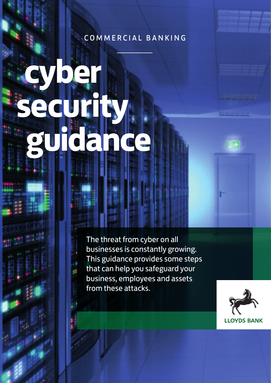# COMMERCIAL BANKING

**cyber security guidance** 

> The threat from cyber on all businesses is constantly growing. This guidance provides some steps that can help you safeguard your business, employees and assets from these attacks.



اختا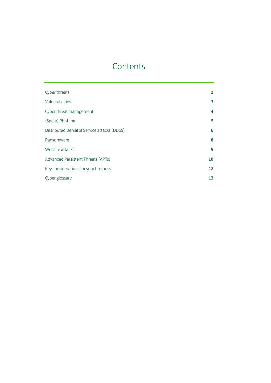# **Contents**

| Cyber threats                                | 1  |
|----------------------------------------------|----|
| Vulnerabilities                              | 3  |
| Cyber threat management                      | 4  |
| (Spear) Phishing                             | 5  |
| Distributed Denial of Service attacks (DDoS) | 6  |
| Ransomware                                   | 8  |
| Website attacks                              | 9  |
| Advanced Persistent Threats (APTs)           | 10 |
| Key considerations for your business         | 12 |
| Cyber glossary                               | 13 |
|                                              |    |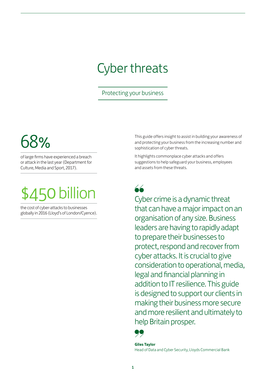# Cyber threats

# Protecting your business

# 68%

of large firms have experienced a breach or attack in the last year (Department for Culture, Media and Sport, 2017).



the cost of cyber-attacks to businesses globally in 2016 (Lloyd's of London/Cyence). This guide offers insight to assist in building your awareness of and protecting your business from the increasing number and sophistication of cyber threats.

It highlights commonplace cyber attacks and offers suggestions to help safeguard your business, employees and assets from these threats.

 $\overline{\triangle}$ 

Cyber crime is a dynamic threat that can have a major impact on an organisation of any size. Business leaders are having to rapidly adapt to prepare their businesses to protect, respond and recover from cyber attacks. It is crucial to give consideration to operational, media, legal and financial planning in addition to IT resilience. This guide is designed to support our clients in making their business more secure and more resilient and ultimately to help Britain prosper.



**Giles Taylor**  Head of Data and Cyber Security, Lloyds Commercial Bank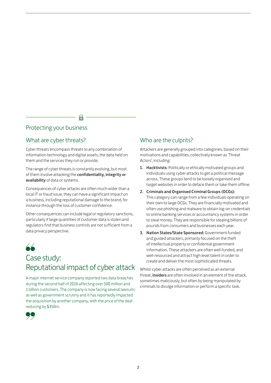# Protecting your business

# What are cyber threats?

Cyber threats encompass threats to any combination of information technology and digital assets, the data held on them and the services they run or provide.

The range of cyber threats is constantly evolving, but most of them involve attacking the confidentiality, integrity or availability of data or systems.

Consequences of cyber attacks are often much wider than a local IT or fraud issue, they can have a significant impact on a business, including reputational damage to the brand, for instance through the loss of customer confidence.

Other consequences can include legal or regulatory sanctions, particularly if large quantities of customer data is stolen and regulators find that business controls are not sufficient from a data privacy perspective.

# "

# Case study: Reputational impact of cyber attack

A major internet service company reported two data breaches during the second half of 2016 affecting over 500 million and 1 billion customers. The company is now facing several lawsuits as well as government scrutiny and it has reportedly impacted the acquisition by another company, with the price of the deal reducing by \$350m.



# Who are the culprits?

Attackers are generally grouped into categories, based on their motivations and capabilities, collectively known as 'Threat Actors', including:

- 1. Hacktivists: Politically or ethically motivated groups and individuals using cyber attacks to get a political message across. These groups tend to be loosely organised and target websites in order to deface them or take them offline.
- 2. Criminals and Organised Criminal Groups (OCGs): This category can range from a few individuals operating on their own to large OCGs. They are financially motivated and often use phishing and malware to obtain log-on credentials to online banking services or accountancy systems in order to steal money. They are responsible for stealing billions of pounds from consumers and businesses each year.
- 3. Nation States/State Sponsored: Government-funded and guided attackers, primarily focused on the theft of intellectual property or confidential government information. These attackers are often well-funded, and well-resourced and attract high level talent in order to create and deliver the most sophisticated threats.

Whilst cyber attacks are often perceived as an external threat, insiders are often involved in an element of the attack, sometimes maliciously, but often by being manipulated by criminals to divulge information or perform a specific task.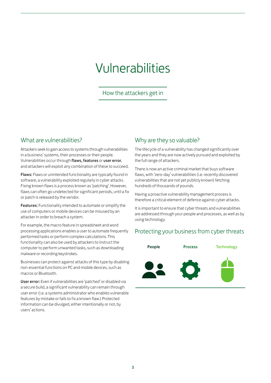# Vulnerabilities

How the attackers get in

# What are vulnerabilities?

Attackers seek to gain access to systems through vulnerabilities in a business' systems, their processes or their people. Vulnerabilities occur through flaws, features or user error, and attackers will exploit any combination of these to succeed.

Flaws: Flaws or unintended functionality are typically found in software, a vulnerability exploited regularly in cyber attacks. Fixing known flaws is a process known as 'patching'. However, flaws can often go undetected for significant periods, until a fix or patch is released by the vendor.

Features: Functionality intended to automate or simplify the use of computers or mobile devices can be misused by an attacker in order to breach a system.

For example, the macro feature in spreadsheet and word processing applications enables a user to automate frequently performed tasks or perform complex calculations. This functionality can also be used by attackers to instruct the computer to perform unwanted tasks, such as downloading malware or recording keystrokes.

Businesses can protect against attacks of this type by disabling non-essential functions on PC and mobile devices, such as macros or Bluetooth.

User error: Even if vulnerabilities are 'patched' or disabled via a secure build, a significant vulnerability can remain through user error (i.e. a systems administrator who enables vulnerable features by mistake or fails to fix a known flaw.) Protected information can be divulged, either intentionally or not, by users' actions.

# Why are they so valuable?

The lifecycle of a vulnerability has changed significantly over the years and they are now actively pursued and exploited by the full range of attackers.

There is now an active criminal market that buys software flaws, with 'zero-day' vulnerabilities (i.e. recently discovered vulnerabilities that are not yet publicly known) fetching hundreds of thousands of pounds.

Having a proactive vulnerability management process is therefore a critical element of defence against cyber attacks.

It is important to ensure that cyber threats and vulnerabilities are addressed through your people and processes, as well as by using technology.

# Protecting your business from cyber threats

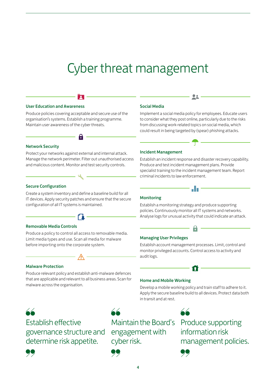# Cyber threat management

### User Education and Awareness

Produce policies covering acceptable and secure use of the organisation's systems. Establish a training programme. Maintain user awareness of the cyber threats.

R

#### Network Security

Protect your networks against external and internal attack. Manage the network perimeter. Filter out unauthorised access and malicious content. Monitor and test security controls.

8

#### Social Media

Implement a social media policy for employees. Educate users to consider what they post online, particularly due to the risks from discussing work-related topics on social media, which could result in being targeted by (spear) phishing attacks.

22

#### Incident Management

Establish an incident response and disaster recovery capability. Produce and test incident management plans. Provide specialist training to the incident management team. Report criminal incidents to law enforcement.

all a

## Secure Configuration

Create a system inventory and define a baseline build for all IT devices. Apply security patches and ensure that the secure configuration of all IT systems is maintained.



### Removable Media Controls

Produce a policy to control all access to removable media. Limit media types and use. Scan all media for malware before importing onto the corporate system.

#### Malware Protection

Produce relevant policy and establish anti-malware defences that are applicable and relevant to all business areas. Scan for malware across the organisation.

#### Monitoring

Establish a monitoring strategy and produce supporting policies. Continuously monitor all IT systems and networks. Analyse logs for unusual activity that could indicate an attack.

#### Managing User Privileges

Establish account management processes. Limit, control and monitor privileged accounts. Control access to activity and audit logs.

#### Home and Mobile Working

Develop a mobile working policy and train staff to adhere to it. Apply the secure baseline build to all devices. Protect data both in transit and at rest.

# " Establish effective governance structure and engagement with determine risk appetite.

" Maintain the Board**'** s cyber risk.



"

Produce supporting information risk management policies.



"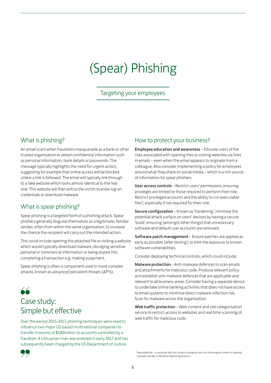# (Spear) Phishing

Targeting your employees

# What is phishing?

An email scam when fraudsters masquerade as a bank or other trusted organisation to obtain confidential information such as personal information, bank details or passwords. The message typically highlights the need for urgent action, suggesting for example that online access will be blocked unless a link is followed. The email will typically link through to a fake website which looks almost identical to the real one. This website will then entice the victim to enter log-on credentials or download malware.

# What is spear phishing?

Spear phishing is a targeted form of a phishing attack. Spear phishers generally disguise themselves as a legitimate, familiar sender, often from within the same organisation, to increase the chance the recipient will carry out the intended action.

This could include opening the attached file or visiting a website which would typically download malware, divulging sensitive personal or commercial information or being duped into completing a transaction e.g. making a payment.

Spear phishing is often a component used in more complex attacks, known as advanced persistent threats (APTs).

# " Case study: Simple but effective

Over the period 2015-2017, phishing techniques were used to influence two major US-based multinational companies to transfer in excess of \$100million to accounts controlled by a fraudster. A Lithuanian man was arrested in early 2017 and has subsequently been charged by the US Department of Justice.

# How to protect your business?

Employee education and awareness – Educate users of the risks associated with opening files or visiting websites via links in emails – even when the email appears to originate from a colleague. Also consider implementing a policy for employees around what they share on social media – which is a rich source of information for spear phishers.

User access controls – Restrict users' permissions, ensuring privileges are limited to those required to perform their role. Restrict privileged accounts and the ability to run executable files\*, especially if not required for their role.

Secure configuration – Known as 'hardening', minimise the potential attack surface on users' devices by having a secure 'build', ensuring (amongst other things) that unnecessary software and default user accounts are removed.

Software patch management – Ensure patches are applied as early as possible (after testing), to limit the exposure to known software vulnerabilities.

Consider deploying technical controls, which could include:

Malware protection – Anti-malware defences to scan emails and attachments for malicious code. Produce relevant policy and establish anti-malware defences that are applicable and relevant to all business areas. Consider having a separate device to undertake online banking activities that does not have access to email systems to minimise direct malware infection risk. Scan for malware across the organisation.

Web traffic protection - Web content and site categorisation service to restrict access to websites and real time scanning of web traffic for malicious code.



5

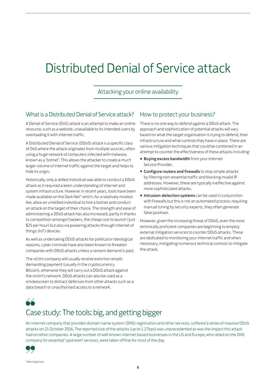# Distributed Denial of Service attack

Attacking your online availability

# What is a Distributed Denial of Service attack?

A Denial of Service (DoS) attack is an attempt to make an online resource, such as a website, unavailable to its intended users by overloading it with internet traffic.

A Distributed Denial of Service (DDoS) attack is a specific class of DoS where the attack originates from multiple sources, often using a huge network of computers infected with malware, known as a 'botnet'. This allows the attacker to create a much larger volume of internet traffic against the target and helps to hide its origin.

Historically, only a skilled individual was able to conduct a DDoS attack as it required a keen understanding of internet and system infrastructure. However in recent years, tools have been made available on the Dark Net\* which, for a relatively modest fee, allow an unskilled individual to hire a botnet and conduct an attack on the target of their choice. The strength and ease of administering a DDoS attack has also increased, partly in thanks to competition amongst hackers, the cheap cost to launch (just \$25 per hour) but also via powering attacks through internet of things (IoT) devices.

As well as undertaking DDoS attacks for political or ideological reasons, cyber criminals have also been known to threaten companies with DDoS attacks unless a ransom demand is paid.

The victim company will usually receive extortion emails demanding payment (usually in the cryptocurrency Bitcoin), otherwise they will carry out a DDoS attack against the victim's network. DDoS attacks can also be used as a smokescreen to distract defences from other attacks such as a data breach or unauthorised access to a network.

# How to protect your business?

There is no one way to defend against a DDoS attack. The approach and sophistication of potential attacks will vary based on what the target organisation is trying to defend, their infrastructure and what controls they have in place. There are various mitigation techniques that could be combined in an attempt to counter the effectiveness of these attacks including:

- **Buying excess bandwidth** from your Internet Service Provider.
- **Configure routers and firewalls** to stop simple attacks by filtering non-essential traffic and blocking invalid IP addresses. However, these are typically ineffective against more sophisticated attacks.
- Intrusion-detection systems can be used in conjunction with firewalls but this is not an automated process; requiring manual tuning by security experts, they often generate false positives.

However, given the increasing threat of DDoS, even the most technically proficient companies are beginning to employ external mitigation services to counter DDoS attacks. These are dedicated to monitoring your internet traffic and when necessary, instigating numerous technical controls to mitigate the attack.



# Case study: The tools: big, and getting bigger

An internet company that provides domain name system (DNS) registration and other services, suffered a series of massive DDoS attacks on 21 October 2016. The reported size of the attacks (up to 1.2Tbps) was unprecedented as was the impact this attack had on other companies. A large number of well-known internet-based businesses in the US and Europe, who relied on the DNS company for essential 'upstream' services, were taken offline for most of the day.

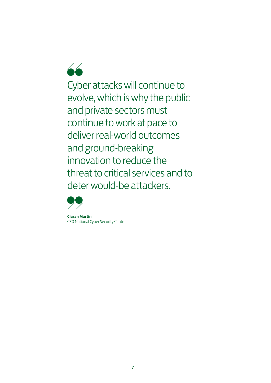66

Cyber attacks will continue to evolve, which is why the public and private sectors must continue to work at pace to deliver real-world outcomes and ground-breaking innovation to reduce the threat to critical services and to deter would-be attackers.



**Ciaran Martin**  CEO National Cyber Security Centre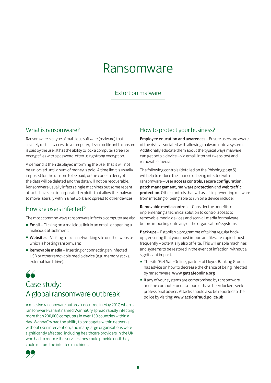# Ransomware

# Extortion malware

What is ransomware?

Ransomware is a type of malicious software (malware) that severely restricts access to a computer, device or file until a ransom is paid by the user. It has the ability to lock a computer screen or encrypt files with a password, often using strong encryption.

A demand is then displayed informing the user that it will not be unlocked until a sum of money is paid. A time limit is usually imposed for the ransom to be paid, or the code to decrypt the data will be deleted and the data will not be recoverable. Ransomware usually infects single machines but some recent attacks have also incorporated exploits that allow the malware to move laterally within a network and spread to other devices.

# How are users infected?

The most common ways ransomware infects a computer are via:

- **Email** Clicking on a malicious link in an email, or opening a malicious attachment;
- **Websites** Visiting a social networking site or other website which is hosting ransomware;
- **Removable media** Inserting or connecting an infected USB or other removable media device (e.g. memory sticks, external hard drive).

"

# Case study: A global ransomware outbreak

A massive ransomware outbreak occurred in May 2017, when a ransomware variant named WannaCry spread rapidly infecting more than 200,000 computers in over 150 countries within a day. WannaCry had the ability to propagate within networks without user intervention, and many large organisations were significantly affected, including healthcare providers in the UK who had to reduce the services they could provide until they could restore the infected machines.

# "

# How to protect your business?

Employee education and awareness – Ensure users are aware of the risks associated with allowing malware onto a system. Additionally educate them about the typical ways malware can get onto a device – via email, internet (websites) and removable media.

The following controls (detailed on the Phishing page 5) will help to reduce the chance of being infected with ransomware – user access controls, secure configuration, patch management, malware protection and web traffic protection. Other controls that will assist in preventing malware from infecting or being able to run on a device include:

Removable media controls – Consider the benefits of implementing a technical solution to control access to removable media devices and scan all media for malware before importing onto any of the organisation's systems.

Back-ups – Establish a programme of taking regular backups, ensuring that your most important files are copied most frequently – potentially also off-site. This will enable machines and systems to be restored in the event of infection, without a significant impact.

- The site 'Get Safe Online', partner of Lloyds Banking Group, has advice on how to decrease the chance of being infected by ransomware: www.[getsafeonline](http://www.getsafeonline.org/).org
- If any of your systems are compromised by ransomware and the computer or data sources have been locked, seek professional advice. Attacks should also be reported to the police by visiting: www.[actionfraud](http://www.actionfraud.police.uk/).police.uk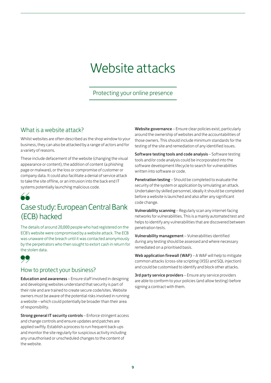# Website attacks

# Protecting your online presence

# What is a website attack?

Whilst websites are often described as the shop window to your business, they can also be attacked by a range of actors and for a variety of reasons.

These include defacement of the website (changing the visual appearance or content), the addition of content (a phishing page or malware), or the loss or compromise of customer or company data. It could also facilitate a denial of service attack to take the site offline, or an intrusion into the back end IT systems potentially launching malicious code.



# Case study: European Central Bank (ECB) hacked

The details of around 20,000 people who had registered on the ECB's website were compromised by a website attack. The ECB was unaware of the breach until it was contacted anonymously by the perpetrators who then sought to extort cash in return for the stolen data.



# How to protect your business?

Education and awareness – Ensure staff involved in designing and developing websites understand that security is part of their role and are trained to create secure code/sites. Website owners must be aware of the potential risks involved in running a website – which could potentially be broader than their area of responsibility.

Strong general IT security controls – Enforce stringent access and change controls and ensure updates and patches are applied swiftly. Establish a process to run frequent back-ups and monitor the site regularly for suspicious activity including any unauthorised or unscheduled changes to the content of the website.

Website governance – Ensure clear policies exist, particularly around the ownership of websites and the accountabilities of those owners. This should include minimum standards for the testing of the site and remediation of any identified issues.

Software testing tools and code analysis – Software testing tools and/or code analysis could be incorporated into the software development lifecycle to search for vulnerabilities written into software or code.

Penetration testing – Should be completed to evaluate the security of the system or application by simulating an attack. Undertaken by skilled personnel, ideally it should be completed before a website is launched and also after any significant code change.

Vulnerability scanning – Regularly scan any internet-facing networks for vulnerabilities. This is a mainly automated test and helps to identify any vulnerabilities that are discovered between penetration tests.

Vulnerability management – Vulnerabilities identified during any testing should be assessed and where necessary remediated on a prioritised basis.

Web application firewall (WAF) – A WAF will help to mitigate common attacks (cross-site scripting (XSS) and SQL injection) and could be customised to identify and block other attacks.

3rd party service providers - Ensure any service providers are able to conform to your policies (and allow testing) before signing a contract with them.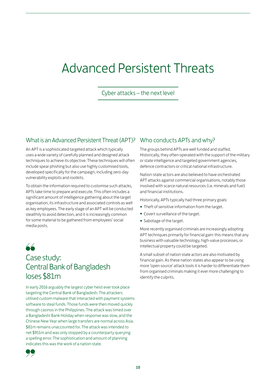# Advanced Persistent Threats

Cyber attacks – the next level

# What is an Advanced Persistent Threat (APT)? Who conducts APTs and why?

An APT is a sophisticated targeted attack which typically uses a wide variety of carefully planned and designed attack techniques to achieve its objective. These techniques will often include spear phishing but also use highly customised tools, developed specifically for the campaign, including zero-day vulnerability exploits and rootkits.

To obtain the information required to customise such attacks, APTs take time to prepare and execute. This often includes a significant amount of intelligence gathering about the target organisation, its infrastructure and associated controls as well as key employees. The early stage of an APT will be conducted stealthily to avoid detection, and it is increasingly common for some material to be gathered from employees' social media posts.



# Case study: Central Bank of Bangladesh loses \$81m

In early 2016 arguably the largest cyber heist ever took place targeting the Central Bank of Bangladesh. The attackers utilised custom malware that interacted with payment systems software to steal funds. Those funds were then moved quickly through casinos in the Philippines. The attack was timed over a Bangladeshi Bank Holiday when response was slow, and the Chinese New Year when large transfers are normal across Asia. \$81m remains unaccounted for. The attack was intended to net \$951m and was only stopped by a counterparty querying a spelling error. The sophistication and amount of planning indicates this was the work of a nation state.



The groups behind APTs are well funded and staffed. Historically, they often operated with the support of the military or state intelligence and targeted government agencies, defence contractors or critical national infrastructure.

Nation-state actors are also believed to have orchestrated APT attacks against commercial organisations, notably those involved with scarce natural resources (i.e. minerals and fuel) and financial institutions.

Historically, APTs typically had three primary goals:

- Theft of sensitive information from the target.
- Covert surveillance of the target.
- **Sabotage of the target.**

More recently organised criminals are increasingly adopting APT techniques primarily for financial gain: this means that any business with valuable technology, high-value processes, or intellectual property could be targeted.

A small subset of nation state actors are also motivated by financial gain. As these nation states also appear to be using more 'open source' attack tools it is harder to differentiate them from organised criminals making it ever more challenging to identify the culprits.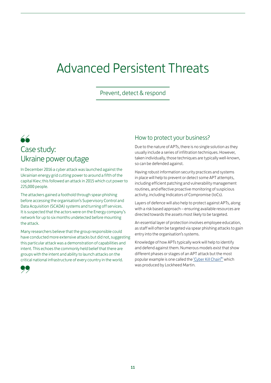# Advanced Persistent Threats

Prevent, detect & respond

# " Case study: Ukraine power outage

In December 2016 a cyber attack was launched against the Ukrainian energy grid cutting power to around a fifth of the capital Kiev; this followed an attack in 2015 which cut power to 225,000 people.

The attackers gained a foothold through spear-phishing before accessing the organisation's Supervisory Control and Data Acquisition (SCADA) systems and turning off services. It is suspected that the actors were on the Energy company's network for up to six months undetected before mounting the attack.

Many researchers believe that the group responsible could have conducted more extensive attacks but did not, suggesting this particular attack was a demonstration of capabilities and intent. This echoes the commonly held belief that there are groups with the intent and ability to launch attacks on the critical national infrastructure of every country in the world.



# How to protect your business?

Due to the nature of APTs, there is no single solution as they usually include a series of infiltration techniques. However, taken individually, those techniques are typically well-known, so can be defended against.

Having robust information security practices and systems in place will help to prevent or detect some APT attempts, including efficient patching and vulnerability management routines, and effective proactive monitoring of suspicious activity, including Indicators of Compromise (IoCs).

Layers of defence will also help to protect against APTs, along with a risk based approach – ensuring available resources are directed towards the assets most likely to be targeted.

An essential layer of protection involves employee education, as staff will often be targeted via spear phishing attacks to gain entry into the organisation's systems.

Knowledge of how APTs typically work will help to identify and defend against them. Numerous models exist that show different phases or stages of an APT attack but the most popular example is one called the 'Cyber Kill Chain®' which was produced by Lockheed Martin.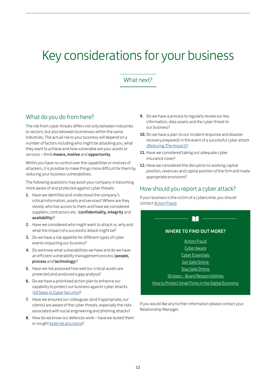# Key considerations for your business

# What next?

# What do you do from here?

The risk from cyber threats differs not only between industries or sectors, but also between businesses within the same industries. The actual risk to your business will depend on a number of factors including who might be attacking you, what they want to achieve and how vulnerable are your assets or services – think means, motive and opportunity.

Whilst you have no control over the capabilities or motives of attackers, it is possible to make things more difficult for them by reducing your business vulnerabilities.

The following questions may assist your company in becoming more aware of and protected against cyber threats:

- 1. Have we identified and understood the company's critical information, assets and services? Where are they stored, who has access to them and have we considered suppliers, contractors etc. (confidentiality, integrity and availability)?
- 2. Have we considered who might want to attack us, why and what the impact of a successful attack might be?
- 3. Do we have a risk appetite for different types of cyber events impacting our business?
- 4. Do we know what vulnerabilities we have and do we have an efficient vulnerability management process (people, process and technology)?
- 5. Have we risk assessed how well our critical assets are protected and produced a gap analysis?
- 6. Do we have a prioritised action plan to enhance our capability to protect our business against cyber attacks [\(10 Steps to Cyber Security\)](https://www.ncsc.gov.uk/guidance/10-steps-cyber-security)?
- 7. Have we ensured our colleagues (and if appropriate, our clients) are aware of the cyber threats, especially the risks associated with social engineering and phishing attacks?
- 8. How do we know our defences work have we tested them or sought [external assurance](https://www.ncsc.gov.uk/topics/assurance)?
- 9. Do we have a process to regularly review our key information, data assets and the cyber threat to our business?
- 10. Do we have a plan (is our incident response and disaster recovery prepared) in the event of a successful cyber attack [\(Reducing The Impact\)?](https://www.ncsc.gov.uk/white-papers/common-cyber-attacks-reducing-impact)
- 11. Have we considered taking out adequate cyber insurance cover?
- 12. Have we considered the disruption to working capital position, revenues and capital position of the firm and made appropriate provisions?

# How should you report a cyber attack?

If your business is the victim of a cybercrime, you should contact [Action Fraud.](http://www.actionfraud.police.uk/)

# WHERE TO FIND OUT MORE?

Å

[Action Fraud](http://www.actionfraud.police.uk/) [Cyber Aware](https://www.cyberaware.gov.uk/)

[Cyber Essentials](http://www.cyberessentials.org/)

[Get Safe Online](http://www.getsafeonline.org/)

[Stay Safe Online](https://staysafeonline.org/business-safe-online/)

[10 steps – Board Responsibilities](https://www.ncsc.gov.uk/guidance/10-steps-board-level-responsibility)

[How to Protect Small Firms in the Digital Economy](http://www.fsb.org.uk/docs/default-source/fsb-org-uk/fsb-cyber-resilience-report-2016.pdf?sfvrsn=0)

If you would like any further information please contact your Relationship Manager.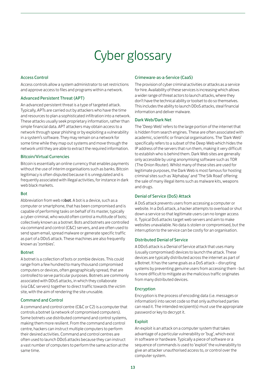# Cyber glossary

### Access Control

Access controls allow a system administrator to set restrictions and approve access to files and programs within a network.

#### Advanced Persistent Threat (APT)

An advanced persistent threat is a type of targeted attack. Typically, APTs are carried out by attackers who have the time and resources to plan a sophisticated infiltration into a network. These attacks usually seek proprietary information, rather than simple financial data. APT attackers may obtain access to a network through spear phishing or by exploiting a vulnerability in a system's software. They may remain on a network for some time while they map out systems and move through the network until they are able to extract the required information.

#### Bitcoin/Virtual Currencies

Bitcoin is essentially an online currency that enables payments without the use of interim organisations such as banks. Bitcoin legitimacy is often disputed because it is unregulated and is frequently associated with illegal activities, for instance in dark web black markets.

#### Bot

Abbreviation from web robot. A bot is a device, such as a computer or smartphone, that has been compromised and is capable of performing tasks on behalf of its master, typically a cyber-criminal, who would often control a multitude of bots; collectively known as a botnet. Bots and botnets are controlled via command and control (C&C) servers, and are often used to send spam email, spread malware or generate specific traffic as part of a DDoS attack. These machines are also frequently known as 'zombies'.

### Botnet

A botnet is a collection of bots or zombie devices. This could range from a few hundred to many thousand compromised computers or devices, often geographically spread, that are controlled to serve particular purposes. Botnets are commonly associated with DDoS attacks, in which they collaborate (via C&C servers) together to direct traffic towards the victim site, with the aim of rendering the site unusable.

### Command and Control

A command and control centre (C&C or C2) is a computer that controls a botnet (a network of compromised computers). Some botnets use distributed command and control systems, making them more resilient. From the command and control centre, hackers can instruct multiple computers to perform their desired activities. Command and control centres are often used to launch DDoS attacks because they can instruct a vast number of computers to perform the same action at the same time.

#### Crimeware-as-a-Service (CaaS)

The provision of cyber criminal activities or attacks as a service for hire. Availability of these services is increasing which allows a wider range of threat actors to launch attacks, where they don't have the technical ability or toolset to do so themselves. This includes the ability to launch DDoS attacks, steal financial information and deliver malware.

#### Dark Web/Dark Net

The 'Deep Web' refers to the large portion of the internet that is hidden from search engines. These are often associated with academic, scientific or financial organisations. The 'Dark Web' specifically refers to a subset of the Deep Web which hides the IP address of the servers that run them, making it very difficult to establish who is behind them. Dark Web sites are generally only accessible by using anonymising software such as TOR (The Onion Router). Whilst many of these sites are used for legitimate purposes, the Dark Web is most famous for hosting criminal sites such as 'Alphabay' and 'The Silk Road' offering the sale of many illegal items such as malware kits, weapons and drugs.

### Denial of Service (DoS) Attack

A DoS attack prevents users from accessing a computer or website. In a DoS attack, a hacker attempts to overload or shut down a service so that legitimate users can no longer access it. Typical DoS attacks target web servers and aim to make websites unavailable. No data is stolen or compromised, but the interruption to the service can be costly for an organisation.

#### Distributed Denial of Service

A DDoS attack is a Denial of Service attack that uses many (usually compromised) devices to launch the attack. These devices are typically distributed across the internet as part of a Botnet. It has the same goals as a DoS attack – disrupting systems by preventing genuine users from accessing them - but is more difficult to mitigate as the malicious traffic originates from many distributed devices.

#### Encryption

Encryption is the process of encoding data (i.e. messages or information) into secret code so that only authorised parties can read it. The intended recipient(s) must use the appropriate password or key to decrypt it.

### Exploit

An exploit is an attack on a computer system that takes advantage of a particular vulnerability or 'bug', which exist in software or hardware. Typically a piece of software or a sequence of commands is used to 'exploit' the vulnerability to give an attacker unauthorised access to, or control over the computer system.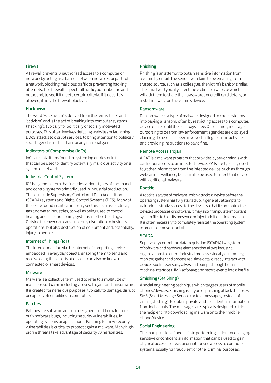## Firewall

A firewall prevents unauthorised access to a computer or network by acting as a barrier between networks or parts of a network, blocking malicious traffic or preventing hacking attempts. The firewall inspects all traffic, both inbound and outbound, to see if it meets certain criteria. If it does, it is allowed; if not, the firewall blocks it.

### **Hacktivism**

The word 'Hacktivism' is derived from the terms 'hack' and 'activism', and is the act of breaking into computer systems ('hacking'), typically for politically or socially motivated purposes. This often involves defacing websites or launching DDoS attacks to disrupt services, to bring attention to political/ social agendas, rather than for any financial gain.

## Indicators of Compromise (IoCs)

IoCs are data items found in system log entries or in files, that can be used to identify potentially malicious activity on a system or network.

## Industrial Control System

ICS is a general term that includes various types of command and control systems primarily used in industrial production. These include Supervisory Control And Data Acquisition (SCADA) systems and Digital Control Systems (DCS). Many of these are found in critical industry sectors such as electrical, gas and water industries, as well as being used to control heating and air conditioning systems in office buildings. Outside takeover can cause not only disruption to business operations, but also destruction of equipment and, potentially, injury to people.

### Internet of Things (IoT)

The interconnection via the Internet of computing devices embedded in everyday objects, enabling them to send and receive data; these sorts of devices can also be known as connected or smart devices.

### **Malware**

Malware is a collective term used to refer to a multitude of malicious software, including viruses, Trojans and ransomware. It is created for nefarious purposes, typically to damage, disrupt or exploit vulnerabilities in computers.

### Patches

Patches are software add-ons designed to add new features or fix software bugs, including security vulnerabilities, in operating systems or applications. Patching for new security vulnerabilities is critical to protect against malware. Many highprofile threats take advantage of security vulnerabilities.

## Phishing

Phishing is an attempt to obtain sensitive information from a victim by email. The sender will claim to be emailing from a trusted source, such as a colleague, the victim's bank or similar. The email will typically direct the victim to a website which will ask them to share their passwords or credit card details, or install malware on the victim's device.

### **Ransomware**

Ransomware is a type of malware designed to coerce victims into paying a ransom, often by restricting access to a computer, device or files until the user pays a fee. Other times, messages purporting to be from law enforcement agencies are displayed claiming the user has been involved in illegal online activities, and providing instructions to pay a fine.

## Remote Access Trojan

A RAT is a malware program that provides cyber-criminals with back-door access to an infected device. RATs are typically used to gather information from the infected device, such as through webcam surveillance, but can also be used to infect that device with additional malware.

## Rootkit

A rootkit is a type of malware which attacks a device before the operating system has fully started up. It generally attempts to gain administrative access to the device so that it can control the device's processes or software. It may also manipulate important system files to hide its presence or inject additional information. It is often necessary to completely reinstall the operating system in order to remove a rootkit.

### **SCADA**

Supervisory control and data acquisition (SCADA) is a system of software and hardware elements that allows industrial organisations to control industrial processes locally or remotely; monitor, gather and process real time data; directly interact with devices such as sensors, valves and pumps through humanmachine interface (HMI) software; and record events into a log file.

## Smishing (SMiShing)

A social engineering technique which targets users of mobile phones/devices. Smishing is a type of phishing attack that uses SMS (Short Message Service) or text messages, instead of email (phishing), to obtain private and confidential information from individuals. The messages are typically designed to trick the recipient into downloading malware onto their mobile phone/device.

## Social Engineering

The manipulation of people into performing actions or divulging sensitive or confidential information that can be used to gain physical access to areas or unauthorised access to computer systems, usually for fraudulent or other criminal purposes.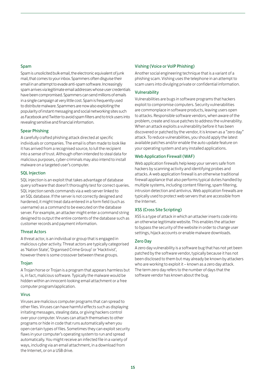#### Spam

Spam is unsolicited bulk email, the electronic equivalent of junk mail, that comes to your inbox. Spammers often disguise their email in an attempt to evade anti-spam software. Increasingly spam arrives via legitimate email addresses whose user credentials have been compromised. Spammers can send millions of emails in a single campaign at very little cost. Spam is frequently used to distribute malware. Spammers are now also exploiting the popularity of instant messaging and social networking sites such as Facebook and Twitter to avoid spam filters and to trick users into revealing sensitive and financial information.

## Spear Phishing

A carefully crafted phishing attack directed at specific individuals or companies. The email is often made to look like it has arrived from a recognised source, to lull the recipient into a sense of trust. Although often intended to steal data for malicious purposes, cyber-criminals may also intend to install malware on a targeted user's computer.

### SQL Injection

SQL injection is an exploit that takes advantage of database query software that doesn't thoroughly test for correct queries. SQL injection sends commands via a web server linked to an SQL database. If the server is not correctly designed and hardened, it might treat data entered in a form field (such as username) as a command to be executed on the database server. For example, an attacker might enter a command string designed to output the entire contents of the database such as customer records and payment information.

## Threat Actors

A threat actor, is an individual or group that is engaged in malicious cyber activity. Threat actors are typically categorised as 'Nation State', 'Organised Crime Group' or 'Hacktivist', however there is some crossover between these groups.

### Trojan

A Trojan horse or Trojan is a program that appears harmless but is, in fact, malicious software. Typically the malware would be hidden within an innocent-looking email attachment or a free computer program/application.

## Virus

Viruses are malicious computer programs that can spread to other files. Viruses can have harmful effects such as displaying irritating messages, stealing data, or giving hackers control over your computer. Viruses can attach themselves to other programs or hide in code that runs automatically when you open certain types of files. Sometimes they can exploit security flaws in your computer's operating system to run and spread automatically. You might receive an infected file in a variety of ways, including via an email attachment, in a download from the Internet, or on a USB drive.

## Vishing (Voice or VoIP Phishing)

Another social engineering technique that is a variant of a phishing scam. Vishing uses the telephone in an attempt to scam users into divulging private or confidential information.

### Vulnerability

Vulnerabilities are bugs in software programs that hackers exploit to compromise computers. Security vulnerabilities are commonplace in software products, leaving users open to attacks. Responsible software vendors, when aware of the problem, create and issue patches to address the vulnerability. When an attack exploits a vulnerability before it has been discovered or patched by the vendor, it is known as a "zero day" attack. To reduce vulnerabilities, you should apply the latest available patches and/or enable the auto update feature on your operating system and any installed applications.

## Web Application Firewall (WAF)

Web application firewalls help keep your servers safe from hackers by scanning activity and identifying probes and attacks. A web application firewall is an otherwise traditional firewall appliance that also performs typical duties handled by multiple systems, including content filtering, spam filtering, intrusion detection and antivirus. Web application firewalls are typically used to protect web servers that are accessible from the Internet.

## XSS (Cross Site Scripting)

XSS is a type of attack in which an attacker inserts code into an otherwise legitimate website. This enables the attacker to bypass the security of the website in order to change user settings, hijack accounts or enable malware downloads.

### Zero Day

A zero day vulnerability is a software bug that has not yet been patched by the software vendor, typically because it has not been disclosed to them but may already be known by attackers who are working to exploit it – known as a zero day attack. The term zero day refers to the number of days that the software vendor has known about the bug.